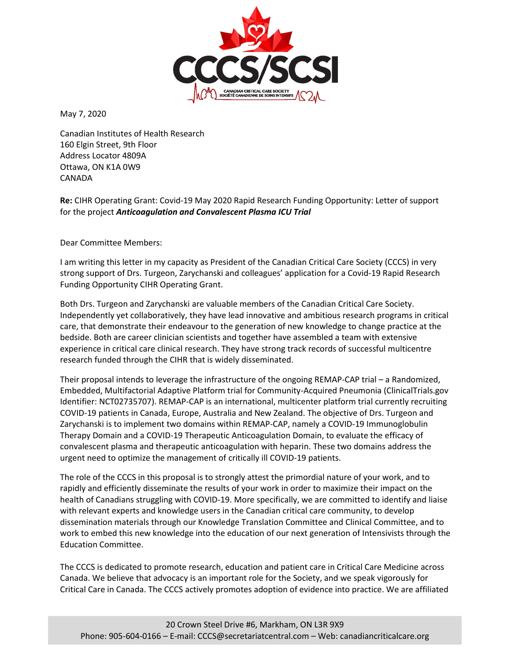

May 7, 2020

Canadian Institutes of Health Research 160 Elgin Street, 9th Floor Address Locator 4809A Ottawa, ON K1A 0W9 CANADA

**Re:** CIHR Operating Grant: Covid-19 May 2020 Rapid Research Funding Opportunity: Letter of support for the project *Anticoagulation and Convalescent Plasma ICU Trial*

Dear Committee Members:

I am writing this letter in my capacity as President of the Canadian Critical Care Society (CCCS) in very strong support of Drs. Turgeon, Zarychanski and colleagues' application for a Covid-19 Rapid Research Funding Opportunity CIHR Operating Grant.

Both Drs. Turgeon and Zarychanski are valuable members of the Canadian Critical Care Society. Independently yet collaboratively, they have lead innovative and ambitious research programs in critical care, that demonstrate their endeavour to the generation of new knowledge to change practice at the bedside. Both are career clinician scientists and together have assembled a team with extensive experience in critical care clinical research. They have strong track records of successful multicentre research funded through the CIHR that is widely disseminated.

Their proposal intends to leverage the infrastructure of the ongoing REMAP-CAP trial – a Randomized, Embedded, Multifactorial Adaptive Platform trial for Community-Acquired Pneumonia (ClinicalTrials.gov Identifier: NCT02735707). REMAP-CAP is an international, multicenter platform trial currently recruiting COVID-19 patients in Canada, Europe, Australia and New Zealand. The objective of Drs. Turgeon and Zarychanski is to implement two domains within REMAP-CAP, namely a COVID-19 Immunoglobulin Therapy Domain and a COVID-19 Therapeutic Anticoagulation Domain, to evaluate the efficacy of convalescent plasma and therapeutic anticoagulation with heparin. These two domains address the urgent need to optimize the management of critically ill COVID-19 patients.

The role of the CCCS in this proposal is to strongly attest the primordial nature of your work, and to rapidly and efficiently disseminate the results of your work in order to maximize their impact on the health of Canadians struggling with COVID-19. More specifically, we are committed to identify and liaise with relevant experts and knowledge users in the Canadian critical care community, to develop dissemination materials through our Knowledge Translation Committee and Clinical Committee, and to work to embed this new knowledge into the education of our next generation of Intensivists through the Education Committee.

The CCCS is dedicated to promote research, education and patient care in Critical Care Medicine across Canada. We believe that advocacy is an important role for the Society, and we speak vigorously for Critical Care in Canada. The CCCS actively promotes adoption of evidence into practice. We are affiliated